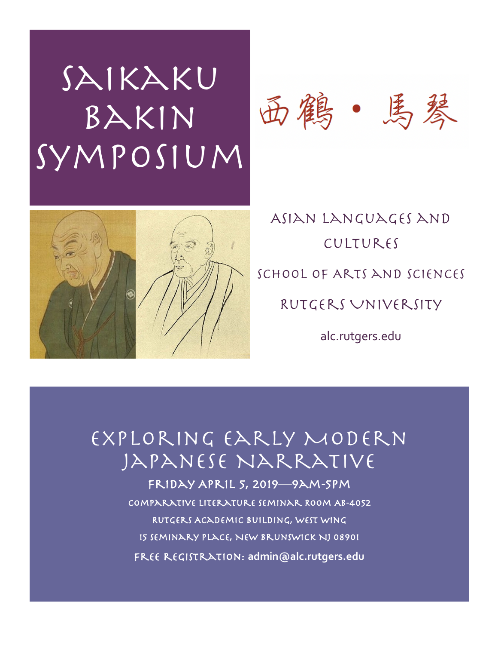# SAIKAKU Bakin Symposium





## Asian Languages and Cultures SCHOOL OF ARTS AND SCIENCES Rutgers University

alc.rutgers.edu

### Exploring Early Modern Japanese Narrative

Friday April 5, 2019—9am-5pm Comparative Literature Seminar Room AB-4052 Rutgers Academic Building, West Wing 15 Seminary Place, New Brunswick NJ 08901 Free registration: **admin@alc.rutgers.edu**